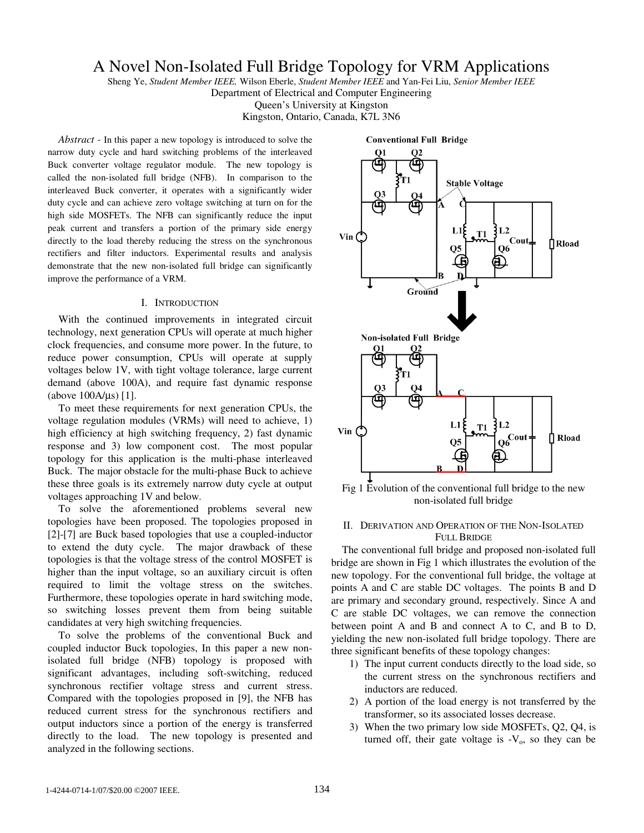# A Novel Non-Isolated Full Bridge Topology for VRM Applications

Sheng Ye, *Student Member IEEE,* Wilson Eberle, *Student Member IEEE* and Yan-Fei Liu, *Senior Member IEEE*

Department of Electrical and Computer Engineering

Queen's University at Kingston

Kingston, Ontario, Canada, K7L 3N6

*Abstract -* In this paper a new topology is introduced to solve the narrow duty cycle and hard switching problems of the interleaved Buck converter voltage regulator module. The new topology is called the non-isolated full bridge (NFB). In comparison to the interleaved Buck converter, it operates with a significantly wider duty cycle and can achieve zero voltage switching at turn on for the high side MOSFETs. The NFB can significantly reduce the input peak current and transfers a portion of the primary side energy directly to the load thereby reducing the stress on the synchronous rectifiers and filter inductors. Experimental results and analysis demonstrate that the new non-isolated full bridge can significantly improve the performance of a VRM.

#### I. INTRODUCTION

With the continued improvements in integrated circuit technology, next generation CPUs will operate at much higher clock frequencies, and consume more power. In the future, to reduce power consumption, CPUs will operate at supply voltages below 1V, with tight voltage tolerance, large current demand (above 100A), and require fast dynamic response (above 100A/µs) [1].

To meet these requirements for next generation CPUs, the voltage regulation modules (VRMs) will need to achieve, 1) high efficiency at high switching frequency, 2) fast dynamic response and 3) low component cost. The most popular topology for this application is the multi-phase interleaved Buck. The major obstacle for the multi-phase Buck to achieve these three goals is its extremely narrow duty cycle at output voltages approaching 1V and below.

To solve the aforementioned problems several new topologies have been proposed. The topologies proposed in [2]-[7] are Buck based topologies that use a coupled-inductor to extend the duty cycle. The major drawback of these topologies is that the voltage stress of the control MOSFET is higher than the input voltage, so an auxiliary circuit is often required to limit the voltage stress on the switches. Furthermore, these topologies operate in hard switching mode, so switching losses prevent them from being suitable candidates at very high switching frequencies.

To solve the problems of the conventional Buck and coupled inductor Buck topologies, In this paper a new nonisolated full bridge (NFB) topology is proposed with significant advantages, including soft-switching, reduced synchronous rectifier voltage stress and current stress. Compared with the topologies proposed in [9], the NFB has reduced current stress for the synchronous rectifiers and output inductors since a portion of the energy is transferred directly to the load. The new topology is presented and analyzed in the following sections.



Fig 1 Evolution of the conventional full bridge to the new non-isolated full bridge

### II. DERIVATION AND OPERATION OF THE NON-ISOLATED FULL BRIDGE

The conventional full bridge and proposed non-isolated full bridge are shown in Fig 1 which illustrates the evolution of the new topology. For the conventional full bridge, the voltage at points A and C are stable DC voltages. The points B and D are primary and secondary ground, respectively. Since A and C are stable DC voltages, we can remove the connection between point A and B and connect A to C, and B to D, yielding the new non-isolated full bridge topology. There are three significant benefits of these topology changes:

- 1) The input current conducts directly to the load side, so the current stress on the synchronous rectifiers and inductors are reduced.
- 2) A portion of the load energy is not transferred by the transformer, so its associated losses decrease.
- 3) When the two primary low side MOSFETs, Q2, Q4, is turned off, their gate voltage is  $-V_0$ , so they can be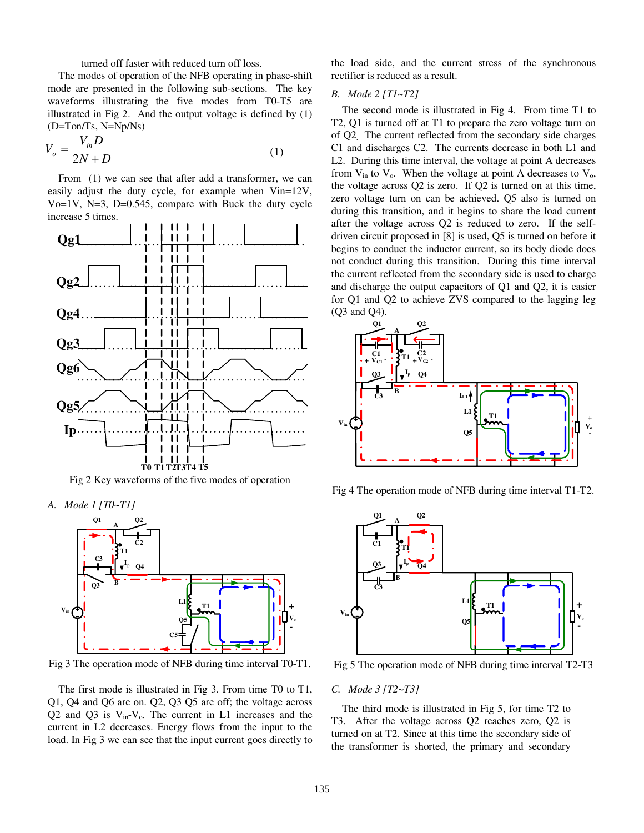turned off faster with reduced turn off loss.

The modes of operation of the NFB operating in phase-shift mode are presented in the following sub-sections. The key waveforms illustrating the five modes from T0-T5 are illustrated in Fig 2. And the output voltage is defined by (1) (D=Ton/Ts, N=Np/Ns)

$$
V_o = \frac{V_{in}D}{2N + D} \tag{1}
$$

From (1) we can see that after add a transformer, we can easily adjust the duty cycle, for example when Vin=12V, Vo $=1V$ , N $=3$ , D $=0.545$ , compare with Buck the duty cycle increase 5 times.



Fig 2 Key waveforms of the five modes of operation

*A. Mode 1 [T0~T1]* 



Fig 3 The operation mode of NFB during time interval T0-T1.

The first mode is illustrated in Fig 3. From time T0 to T1, Q1, Q4 and Q6 are on. Q2, Q3 Q5 are off; the voltage across Q2 and Q3 is  $V_{in}$ - $V_o$ . The current in L1 increases and the current in L2 decreases. Energy flows from the input to the load. In Fig 3 we can see that the input current goes directly to the load side, and the current stress of the synchronous rectifier is reduced as a result.

## *B. Mode 2 [T1~T2]*

The second mode is illustrated in Fig 4. From time T1 to T2, Q1 is turned off at T1 to prepare the zero voltage turn on of Q2. The current reflected from the secondary side charges C1 and discharges C2. The currents decrease in both L1 and L2. During this time interval, the voltage at point A decreases from  $V_{in}$  to  $V_o$ . When the voltage at point A decreases to  $V_o$ , the voltage across Q2 is zero. If Q2 is turned on at this time, zero voltage turn on can be achieved. Q5 also is turned on during this transition, and it begins to share the load current after the voltage across Q2 is reduced to zero. If the selfdriven circuit proposed in [8] is used, Q5 is turned on before it begins to conduct the inductor current, so its body diode does not conduct during this transition. During this time interval the current reflected from the secondary side is used to charge and discharge the output capacitors of Q1 and Q2, it is easier for Q1 and Q2 to achieve ZVS compared to the lagging leg (Q3 and Q4).



Fig 4 The operation mode of NFB during time interval T1-T2.



Fig 5 The operation mode of NFB during time interval T2-T3

# *C. Mode 3 [T2~T3]*

The third mode is illustrated in Fig 5, for time T2 to T3. After the voltage across Q2 reaches zero, Q2 is turned on at T2. Since at this time the secondary side of the transformer is shorted, the primary and secondary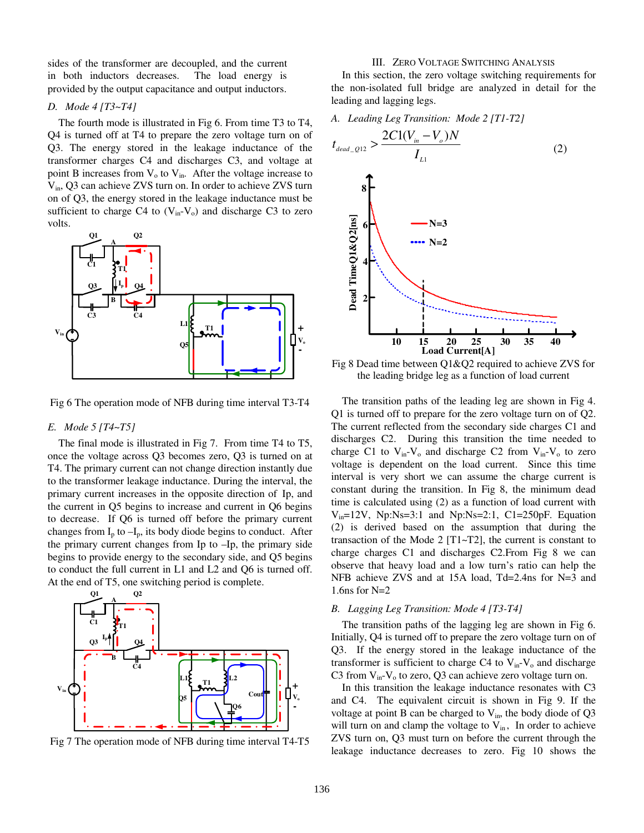sides of the transformer are decoupled, and the current in both inductors decreases. The load energy is provided by the output capacitance and output inductors.

#### *D. Mode 4 [T3~T4]*

The fourth mode is illustrated in Fig 6. From time T3 to T4, Q4 is turned off at T4 to prepare the zero voltage turn on of Q3. The energy stored in the leakage inductance of the transformer charges C4 and discharges C3, and voltage at point B increases from  $V_0$  to  $V_{in}$ . After the voltage increase to Vin, Q3 can achieve ZVS turn on. In order to achieve ZVS turn on of Q3, the energy stored in the leakage inductance must be sufficient to charge C4 to  $(V_{in}-V_o)$  and discharge C3 to zero volts.



Fig 6 The operation mode of NFB during time interval T3-T4

#### *E. Mode 5 [T4~T5]*

The final mode is illustrated in Fig 7. From time T4 to T5, once the voltage across Q3 becomes zero, Q3 is turned on at T4. The primary current can not change direction instantly due to the transformer leakage inductance. During the interval, the primary current increases in the opposite direction of Ip, and the current in Q5 begins to increase and current in Q6 begins to decrease. If Q6 is turned off before the primary current changes from  $I_p$  to  $-I_p$ , its body diode begins to conduct. After the primary current changes from Ip to –Ip, the primary side begins to provide energy to the secondary side, and Q5 begins to conduct the full current in L1 and L2 and Q6 is turned off. At the end of T5, one switching period is complete.



Fig 7 The operation mode of NFB during time interval T4-T5

#### III. ZERO VOLTAGE SWITCHING ANALYSIS

In this section, the zero voltage switching requirements for the non-isolated full bridge are analyzed in detail for the leading and lagging legs.

*A. Leading Leg Transition: Mode 2 [T1-T2]* 

$$
t_{dead\_Q12} > \frac{2C1(V_{in} - V_o)N}{I_{L1}}
$$
\n
$$
8 \longrightarrow 1
$$
\n
$$
N=3
$$
\n
$$
N=2
$$
\n
$$
N=2
$$
\n
$$
N=2
$$
\n
$$
N=2
$$
\n
$$
N=2
$$
\n
$$
N=2
$$
\n
$$
N=2
$$
\n
$$
N=2
$$
\n
$$
N=2
$$
\n
$$
N=2
$$
\n
$$
N=2
$$
\n
$$
N=2
$$
\n
$$
N=2
$$
\n
$$
N=2
$$
\n
$$
N=2
$$
\n
$$
N=2
$$
\n
$$
N=2
$$
\n
$$
N=2
$$
\n
$$
N=2
$$
\n
$$
N=2
$$
\n
$$
N=2
$$
\n
$$
N=2
$$
\n
$$
N=2
$$
\n
$$
N=2
$$
\n
$$
N=2
$$
\n
$$
N=2
$$
\n
$$
N=2
$$
\n
$$
N=2
$$
\n
$$
N=2
$$
\n
$$
N=2
$$
\n
$$
N=2
$$
\n
$$
N=2
$$
\n
$$
N=2
$$
\n
$$
N=2
$$
\n
$$
N=2
$$
\n
$$
N=2
$$
\n
$$
N=2
$$
\n
$$
N=2
$$
\n
$$
N=2
$$
\n
$$
N=2
$$
\n
$$
N=2
$$
\n
$$
N=2
$$
\n
$$
N=2
$$
\n
$$
N=2
$$
\n
$$
N=2
$$
\n
$$
N=2
$$
\n
$$
N=2
$$
\n
$$
N=2
$$
\n
$$
N=2
$$
\n
$$
N=2
$$
\n
$$
N=2
$$
\n
$$
N=2
$$
\n
$$
N=2
$$
\n
$$
N=2
$$

Fig 8 Dead time between Q1&Q2 required to achieve ZVS for the leading bridge leg as a function of load current

The transition paths of the leading leg are shown in Fig 4. Q1 is turned off to prepare for the zero voltage turn on of Q2. The current reflected from the secondary side charges C1 and discharges C2. During this transition the time needed to charge C1 to  $V_{in}-V_o$  and discharge C2 from  $V_{in}-V_o$  to zero voltage is dependent on the load current. Since this time interval is very short we can assume the charge current is constant during the transition. In Fig 8, the minimum dead time is calculated using (2) as a function of load current with Vin=12V, Np:Ns=3:1 and Np:Ns=2:1, C1=250pF. Equation (2) is derived based on the assumption that during the transaction of the Mode 2 [T1~T2], the current is constant to charge charges C1 and discharges C2.From Fig 8 we can observe that heavy load and a low turn's ratio can help the NFB achieve ZVS and at 15A load, Td=2.4ns for N=3 and 1.6ns for N=2

# *B. Lagging Leg Transition: Mode 4 [T3-T4]*

The transition paths of the lagging leg are shown in Fig 6. Initially, Q4 is turned off to prepare the zero voltage turn on of Q3. If the energy stored in the leakage inductance of the transformer is sufficient to charge C4 to  $V_{in}$ - $V_o$  and discharge C3 from  $V_{in}$ - $V_o$  to zero, Q3 can achieve zero voltage turn on.

In this transition the leakage inductance resonates with C3 and C4. The equivalent circuit is shown in Fig 9. If the voltage at point B can be charged to  $V_{in}$ , the body diode of Q3 will turn on and clamp the voltage to  $V_{in}$ , In order to achieve ZVS turn on, Q3 must turn on before the current through the leakage inductance decreases to zero. Fig 10 shows the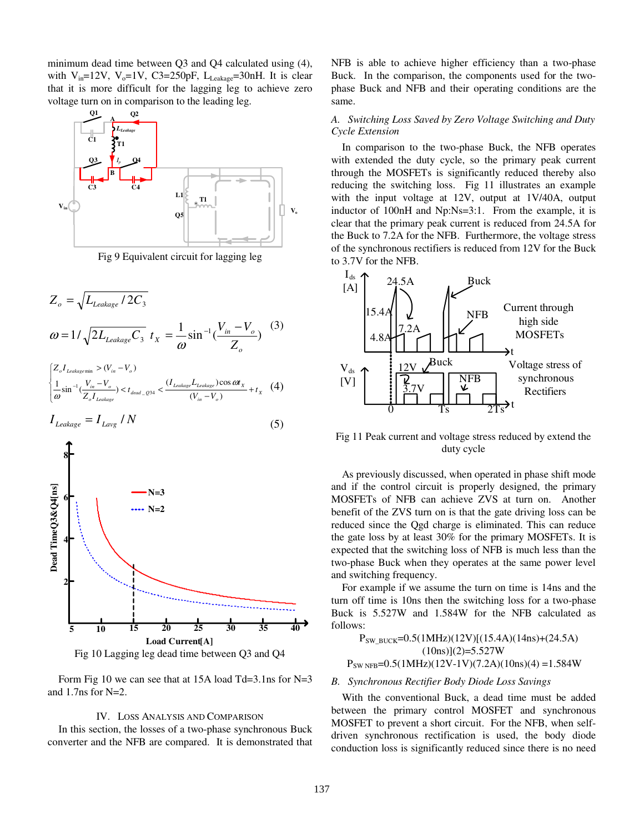minimum dead time between Q3 and Q4 calculated using (4), with  $V_{in}$ =12V,  $V_{o}$ =1V, C3=250pF, L<sub>Leakage</sub>=30nH. It is clear that it is more difficult for the lagging leg to achieve zero voltage turn on in comparison to the leading leg.



Fig 9 Equivalent circuit for lagging leg

$$
Z_o = \sqrt{L_{Leakage} / 2C_3}
$$
  
\n
$$
\omega = 1 / \sqrt{2L_{Leakage}} C_3 t_X = \frac{1}{\omega} \sin^{-1} \left(\frac{V_{in} - V_o}{Z_o}\right)
$$
  
\n
$$
\begin{cases} Z_o I_{Leakagemin} > (V_{in} - V_o) \\ \frac{1}{\omega} \sin^{-1} \left(\frac{V_{in} - V_o}{Z_o I_{Leakage}}\right) < t_{dead\_Q34} < \frac{(I_{Leakage} L_{Leakage}) \cos \omega t_X}{(V_{in} - V_o)} + t_X \end{cases}
$$
 (4)

$$
I_{Leakage} = I_{Lavg} / N \tag{5}
$$



Fig 10 Lagging leg dead time between Q3 and Q4

Form Fig 10 we can see that at 15A load Td=3.1ns for N=3 and 1.7ns for N=2.

### IV. LOSS ANALYSIS AND COMPARISON

In this section, the losses of a two-phase synchronous Buck converter and the NFB are compared. It is demonstrated that NFB is able to achieve higher efficiency than a two-phase Buck. In the comparison, the components used for the twophase Buck and NFB and their operating conditions are the same.

# *A. Switching Loss Saved by Zero Voltage Switching and Duty Cycle Extension*

In comparison to the two-phase Buck, the NFB operates with extended the duty cycle, so the primary peak current through the MOSFETs is significantly reduced thereby also reducing the switching loss. Fig 11 illustrates an example with the input voltage at 12V, output at 1V/40A, output inductor of 100nH and Np:Ns=3:1. From the example, it is clear that the primary peak current is reduced from 24.5A for the Buck to 7.2A for the NFB. Furthermore, the voltage stress of the synchronous rectifiers is reduced from 12V for the Buck to 3.7V for the NFB.



Fig 11 Peak current and voltage stress reduced by extend the duty cycle

As previously discussed, when operated in phase shift mode and if the control circuit is properly designed, the primary MOSFETs of NFB can achieve ZVS at turn on. Another benefit of the ZVS turn on is that the gate driving loss can be reduced since the Qgd charge is eliminated. This can reduce the gate loss by at least 30% for the primary MOSFETs. It is expected that the switching loss of NFB is much less than the two-phase Buck when they operates at the same power level and switching frequency.

For example if we assume the turn on time is 14ns and the turn off time is 10ns then the switching loss for a two-phase Buck is 5.527W and 1.584W for the NFB calculated as follows:

 $P_{SW\text{ BUCK}}=0.5(1\text{MHz})(12\text{V})[(15.4\text{A})(14\text{ns})+(24.5\text{A})]$  $(10ns)(2)=5.527W$  $P_{SW NFB}$ =0.5(1MHz)(12V-1V)(7.2A)(10ns)(4) =1.584W

#### *B. Synchronous Rectifier Body Diode Loss Savings*

With the conventional Buck, a dead time must be added between the primary control MOSFET and synchronous MOSFET to prevent a short circuit. For the NFB, when selfdriven synchronous rectification is used, the body diode conduction loss is significantly reduced since there is no need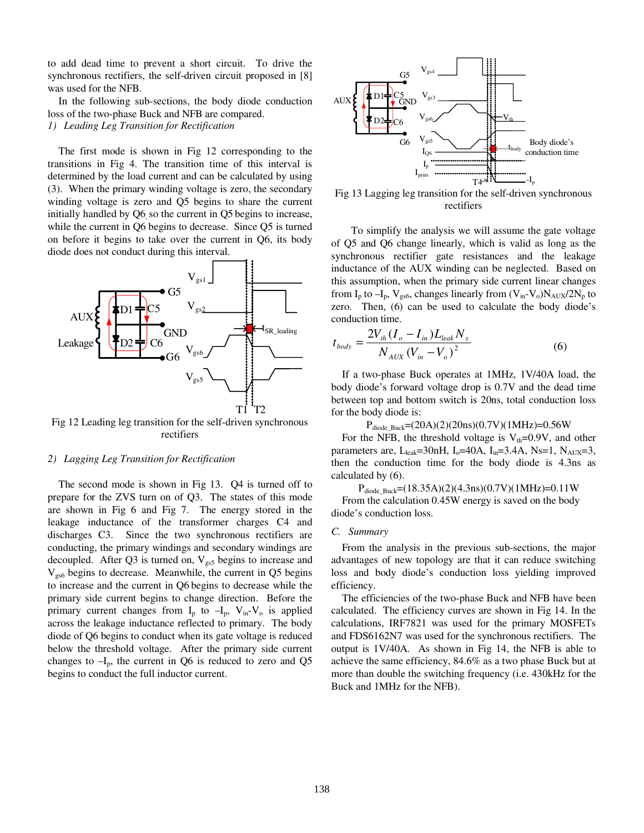to add dead time to prevent a short circuit. To drive the synchronous rectifiers, the self-driven circuit proposed in [8] was used for the NFB.

In the following sub-sections, the body diode conduction loss of the two-phase Buck and NFB are compared.

*1) Leading Leg Transition for Rectification* 

The first mode is shown in Fig 12 corresponding to the transitions in Fig 4. The transition time of this interval is determined by the load current and can be calculated by using (3). When the primary winding voltage is zero, the secondary winding voltage is zero and Q5 begins to share the current initially handled by Q6, so the current in Q5 begins to increase, while the current in Q6 begins to decrease. Since Q5 is turned on before it begins to take over the current in Q6, its body diode does not conduct during this interval.



Fig 12 Leading leg transition for the self-driven synchronous rectifiers

#### *2) Lagging Leg Transition for Rectification*

The second mode is shown in Fig 13. Q4 is turned off to prepare for the ZVS turn on of Q3. The states of this mode are shown in Fig 6 and Fig 7. The energy stored in the leakage inductance of the transformer charges C4 and discharges C3. Since the two synchronous rectifiers are conducting, the primary windings and secondary windings are decoupled. After Q3 is turned on,  $V_{gs5}$  begins to increase and  $V_{gs6}$  begins to decrease. Meanwhile, the current in Q5 begins to increase and the current in Q6 begins to decrease while the primary side current begins to change direction. Before the primary current changes from  $I_p$  to  $-I_p$ ,  $V_{in}$ - $V_o$  is applied across the leakage inductance reflected to primary. The body diode of Q6 begins to conduct when its gate voltage is reduced below the threshold voltage. After the primary side current changes to  $-I_p$ , the current in Q6 is reduced to zero and Q5 begins to conduct the full inductor current.



Fig 13 Lagging leg transition for the self-driven synchronous rectifiers

To simplify the analysis we will assume the gate voltage of Q5 and Q6 change linearly, which is valid as long as the synchronous rectifier gate resistances and the leakage inductance of the AUX winding can be neglected. Based on this assumption, when the primary side current linear changes from  $I_p$  to  $-I_p$ ,  $V_{gs6}$ , changes linearly from  $(V_{in}-V_o)N_{AUX}/2N_p$  to zero. Then, (6) can be used to calculate the body diode's conduction time.

$$
t_{body} = \frac{2V_{th}(I_o - I_{in})L_{leak}N_s}{N_{AUX}(V_{in} - V_o)^2}
$$
 (6)

If a two-phase Buck operates at 1MHz, 1V/40A load, the body diode's forward voltage drop is 0.7V and the dead time between top and bottom switch is 20ns, total conduction loss for the body diode is:

 $P_{\text{diode_Buck}} = (20A)(2)(20ns)(0.7V)(1MHz) = 0.56W$ 

For the NFB, the threshold voltage is  $V_{th}$ =0.9V, and other parameters are, L<sub>leak</sub>=30nH, I<sub>o</sub>=40A, I<sub>in</sub>=3.4A, Ns=1, N<sub>AUX</sub>=3, then the conduction time for the body diode is 4.3ns as calculated by (6).

 $P_{\text{diode-Buck}} = (18.35A)(2)(4.3ns)(0.7V)(1MHz) = 0.11W$ From the calculation 0.45W energy is saved on the body diode's conduction loss.

### *C. Summary*

From the analysis in the previous sub-sections, the major advantages of new topology are that it can reduce switching loss and body diode's conduction loss yielding improved efficiency.

The efficiencies of the two-phase Buck and NFB have been calculated. The efficiency curves are shown in Fig 14. In the calculations, IRF7821 was used for the primary MOSFETs and FDS6162N7 was used for the synchronous rectifiers. The output is 1V/40A. As shown in Fig 14, the NFB is able to achieve the same efficiency, 84.6% as a two phase Buck but at more than double the switching frequency (i.e. 430kHz for the Buck and 1MHz for the NFB).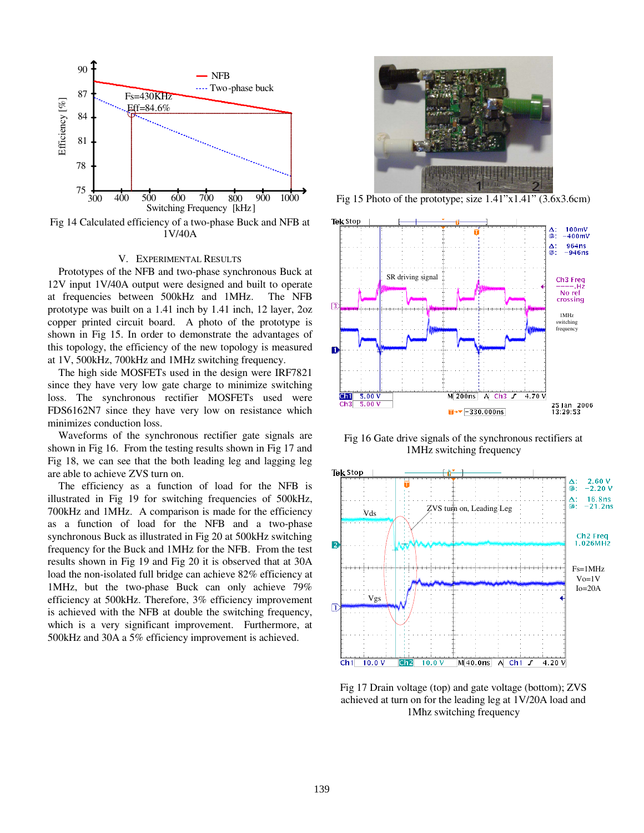

Fig 14 Calculated efficiency of a two-phase Buck and NFB at 1V/40A

### V. EXPERIMENTAL RESULTS

Prototypes of the NFB and two-phase synchronous Buck at 12V input 1V/40A output were designed and built to operate at frequencies between 500kHz and 1MHz. The NFB prototype was built on a 1.41 inch by 1.41 inch, 12 layer, 2oz copper printed circuit board. A photo of the prototype is shown in Fig 15. In order to demonstrate the advantages of this topology, the efficiency of the new topology is measured at 1V, 500kHz, 700kHz and 1MHz switching frequency.

The high side MOSFETs used in the design were IRF7821 since they have very low gate charge to minimize switching loss. The synchronous rectifier MOSFETs used were FDS6162N7 since they have very low on resistance which minimizes conduction loss.

Waveforms of the synchronous rectifier gate signals are shown in Fig 16. From the testing results shown in Fig 17 and Fig 18, we can see that the both leading leg and lagging leg are able to achieve ZVS turn on.

The efficiency as a function of load for the NFB is illustrated in Fig 19 for switching frequencies of 500kHz, 700kHz and 1MHz. A comparison is made for the efficiency as a function of load for the NFB and a two-phase synchronous Buck as illustrated in Fig 20 at 500kHz switching frequency for the Buck and 1MHz for the NFB. From the test results shown in Fig 19 and Fig 20 it is observed that at 30A load the non-isolated full bridge can achieve 82% efficiency at 1MHz, but the two-phase Buck can only achieve 79% efficiency at 500kHz. Therefore, 3% efficiency improvement is achieved with the NFB at double the switching frequency, which is a very significant improvement. Furthermore, at 500kHz and 30A a 5% efficiency improvement is achieved.



Fig 15 Photo of the prototype; size 1.41"x1.41" (3.6x3.6cm)



Fig 16 Gate drive signals of the synchronous rectifiers at 1MHz switching frequency



Fig 17 Drain voltage (top) and gate voltage (bottom); ZVS achieved at turn on for the leading leg at 1V/20A load and 1Mhz switching frequency